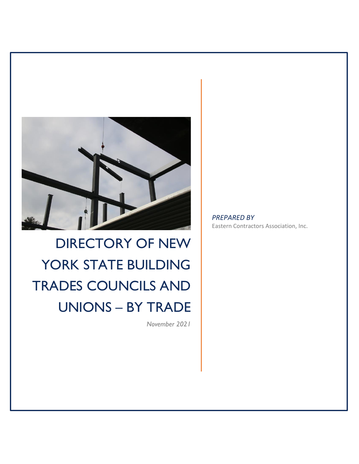

# DIRECTORY OF NEW YORK STATE BUILDING TRADES COUNCILS AND UNIONS – BY TRADE

*November 2021*

*PREPARED BY* Eastern Contractors Association, Inc.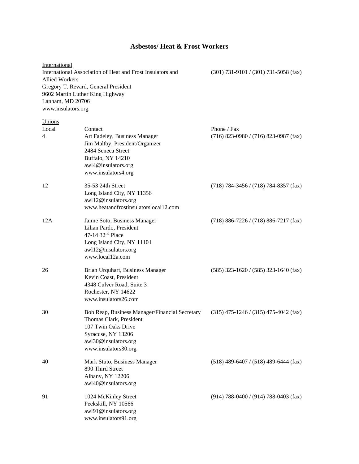#### **Asbestos/ Heat & Frost Workers**

| International                                              |                                                |                                           |
|------------------------------------------------------------|------------------------------------------------|-------------------------------------------|
| International Association of Heat and Frost Insulators and |                                                | $(301)$ 731-9101 / $(301)$ 731-5058 (fax) |
| <b>Allied Workers</b>                                      |                                                |                                           |
|                                                            | Gregory T. Revard, General President           |                                           |
|                                                            | 9602 Martin Luther King Highway                |                                           |
| Lanham, MD 20706                                           |                                                |                                           |
| www.insulators.org                                         |                                                |                                           |
|                                                            |                                                |                                           |
| Unions                                                     |                                                |                                           |
| Local                                                      | Contact                                        | Phone / Fax                               |
| 4                                                          | Art Fadeley, Business Manager                  | $(716)$ 823-0980 / $(716)$ 823-0987 (fax) |
|                                                            | Jim Maltby, President/Organizer                |                                           |
|                                                            | 2484 Seneca Street                             |                                           |
|                                                            | Buffalo, NY 14210                              |                                           |
|                                                            | awl4@insulators.org                            |                                           |
|                                                            | www.insulators4.org                            |                                           |
|                                                            |                                                |                                           |
| 12                                                         | 35-53 24th Street                              | $(718)$ 784-3456 / $(718)$ 784-8357 (fax) |
|                                                            | Long Island City, NY 11356                     |                                           |
|                                                            | awl12@insulators.org                           |                                           |
|                                                            | www.heatandfrostinsulatorslocal12.com          |                                           |
|                                                            |                                                |                                           |
| 12A                                                        | Jaime Soto, Business Manager                   | $(718)$ 886-7226 / $(718)$ 886-7217 (fax) |
|                                                            | Lilian Pardo, President                        |                                           |
|                                                            | 47-14 32 <sup>nd</sup> Place                   |                                           |
|                                                            | Long Island City, NY 11101                     |                                           |
|                                                            | awl12@insulators.org                           |                                           |
|                                                            | www.local12a.com                               |                                           |
|                                                            |                                                |                                           |
| 26                                                         | Brian Urquhart, Business Manager               | $(585)$ 323-1620 / $(585)$ 323-1640 (fax) |
|                                                            | Kevin Coast, President                         |                                           |
|                                                            | 4348 Culver Road, Suite 3                      |                                           |
|                                                            | Rochester, NY 14622                            |                                           |
|                                                            | www.insulators26.com                           |                                           |
|                                                            |                                                |                                           |
| 30                                                         | Bob Reap, Business Manager/Financial Secretary | $(315)$ 475-1246 / (315) 475-4042 (fax)   |
|                                                            | Thomas Clark, President                        |                                           |
|                                                            | 107 Twin Oaks Drive                            |                                           |
|                                                            | Syracuse, NY 13206                             |                                           |
|                                                            | awl30@insulators.org                           |                                           |
|                                                            | www.insulators30.org                           |                                           |
|                                                            |                                                |                                           |
| 40                                                         | Mark Stuto, Business Manager                   | $(518)$ 489-6407 / (518) 489-6444 (fax)   |
|                                                            | 890 Third Street                               |                                           |
|                                                            | Albany, NY 12206                               |                                           |
|                                                            | awl40@insulators.org                           |                                           |
|                                                            |                                                |                                           |
| 91                                                         | 1024 McKinley Street                           | $(914)$ 788-0400 / $(914)$ 788-0403 (fax) |
|                                                            | Peekskill, NY 10566                            |                                           |
|                                                            | awl91@insulators.org                           |                                           |
|                                                            | www.insulators91.org                           |                                           |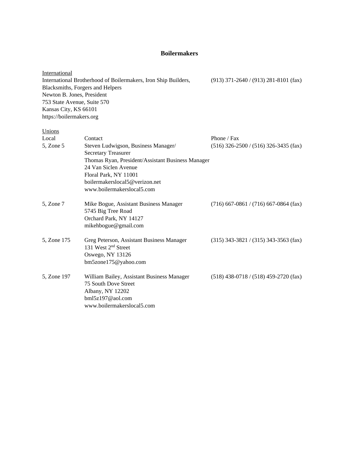#### **Boilermakers**

| International<br>Blacksmiths, Forgers and Helpers<br>Newton B. Jones, President<br>753 State Avenue, Suite 570<br>Kansas City, KS 66101<br>https://boilermakers.org | International Brotherhood of Boilermakers, Iron Ship Builders,                                                                                                                                                                                     | $(913)$ 371-2640 / $(913)$ 281-8101 (fax)                |
|---------------------------------------------------------------------------------------------------------------------------------------------------------------------|----------------------------------------------------------------------------------------------------------------------------------------------------------------------------------------------------------------------------------------------------|----------------------------------------------------------|
| Unions<br>Local<br>5, Zone 5                                                                                                                                        | Contact<br>Steven Ludwigson, Business Manager/<br><b>Secretary Treasurer</b><br>Thomas Ryan, President/Assistant Business Manager<br>24 Van Siclen Avenue<br>Floral Park, NY 11001<br>boilermakerslocal5@verizon.net<br>www.boilermakerslocal5.com | Phone / Fax<br>$(516)$ 326-2500 / $(516)$ 326-3435 (fax) |
| 5, Zone 7                                                                                                                                                           | Mike Bogue, Assistant Business Manager<br>5745 Big Tree Road<br>Orchard Park, NY 14127<br>mikehbogue@gmail.com                                                                                                                                     | $(716)$ 667-0861 / (716) 667-0864 (fax)                  |
| 5, Zone 175                                                                                                                                                         | Greg Peterson, Assistant Business Manager<br>131 West 2 <sup>nd</sup> Street<br>Oswego, NY 13126<br>bm5zone175@yahoo.com                                                                                                                           | $(315)$ 343-3821 / $(315)$ 343-3563 (fax)                |
| 5, Zone 197                                                                                                                                                         | William Bailey, Assistant Business Manager<br>75 South Dove Street<br>Albany, NY 12202<br>bml5z197@aol.com<br>www.boilermakerslocal5.com                                                                                                           | $(518)$ 438-0718 / (518) 459-2720 (fax)                  |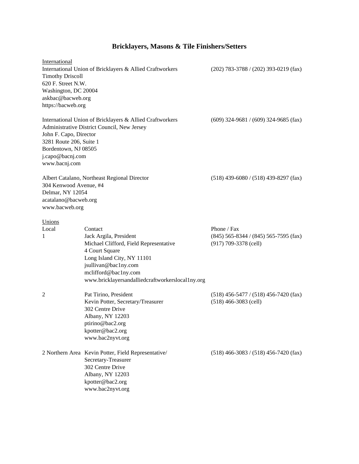## **Bricklayers, Masons & Tile Finishers/Setters**

| <u>International</u><br>International Union of Bricklayers & Allied Craftworkers<br><b>Timothy Driscoll</b><br>620 F. Street N.W.<br>Washington, DC 20004<br>askbac@bacweb.org<br>https://bacweb.org                      |                                                                                                                                                                                                                                 | $(202)$ 783-3788 / $(202)$ 393-0219 (fax)                                           |
|---------------------------------------------------------------------------------------------------------------------------------------------------------------------------------------------------------------------------|---------------------------------------------------------------------------------------------------------------------------------------------------------------------------------------------------------------------------------|-------------------------------------------------------------------------------------|
| International Union of Bricklayers & Allied Craftworkers<br>Administrative District Council, New Jersey<br>John F. Capo, Director<br>3281 Route 206, Suite 1<br>Bordentown, NJ 08505<br>j.capo@bacnj.com<br>www.bacnj.com |                                                                                                                                                                                                                                 | $(609)$ 324-9681 / $(609)$ 324-9685 (fax)                                           |
| 304 Kenwood Avenue, #4<br>Delmar, NY 12054<br>acatalano@bacweb.org<br>www.bacweb.org                                                                                                                                      | Albert Catalano, Northeast Regional Director                                                                                                                                                                                    | $(518)$ 439-6080 / $(518)$ 439-8297 (fax)                                           |
| Unions<br>Local<br>1                                                                                                                                                                                                      | Contact<br>Jack Argila, President<br>Michael Clifford, Field Representative<br>4 Court Square<br>Long Island City, NY 11101<br>jsullivan@bac1ny.com<br>mclifford@bac1ny.com<br>www.bricklayersandalliedcraftworkerslocal1ny.org | Phone / Fax<br>$(845)$ 565-8344 / $(845)$ 565-7595 (fax)<br>$(917)$ 709-3378 (cell) |
| 2                                                                                                                                                                                                                         | Pat Tirino, President<br>Kevin Potter, Secretary/Treasurer<br>302 Centre Drive<br>Albany, NY 12203<br>ptirino@bac2.org<br>kpotter@bac2.org<br>www.bac2nyvt.org                                                                  | $(518)$ 456-5477 / $(518)$ 456-7420 (fax)<br>$(518)$ 466-3083 (cell)                |
|                                                                                                                                                                                                                           | 2 Northern Area Kevin Potter, Field Representative/<br>Secretary-Treasurer<br>302 Centre Drive<br>Albany, NY 12203<br>kpotter@bac2.org<br>www.bac2nyvt.org                                                                      | $(518)$ 466-3083 / (518) 456-7420 (fax)                                             |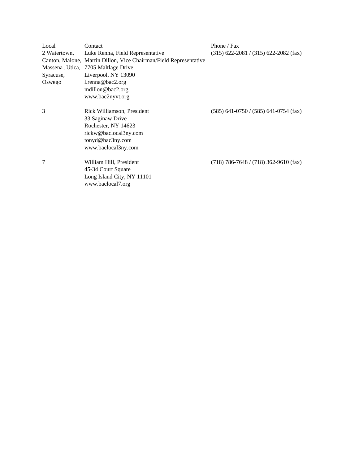| Local        | Contact                                                           | Phone / Fax                               |
|--------------|-------------------------------------------------------------------|-------------------------------------------|
| 2 Watertown, | Luke Renna, Field Representative                                  | $(315)$ 622-2081 / $(315)$ 622-2082 (fax) |
|              | Canton, Malone, Martin Dillon, Vice Chairman/Field Representative |                                           |
|              | Massena, Utica, 7705 Maltlage Drive                               |                                           |
| Syracuse,    | Liverpool, NY 13090                                               |                                           |
| Oswego       | $l$ .renna@bac2.org                                               |                                           |
|              | mdillon@bac2.org                                                  |                                           |
|              | www.bac2nyvt.org                                                  |                                           |
| 3            | Rick Williamson, President                                        | $(585)$ 641-0750 / (585) 641-0754 (fax)   |
|              | 33 Saginaw Drive                                                  |                                           |
|              | Rochester, NY 14623                                               |                                           |
|              | rickw@baclocal3ny.com                                             |                                           |
|              | tonyd@bac3ny.com                                                  |                                           |
|              | www.baclocal3ny.com                                               |                                           |
|              |                                                                   |                                           |
| 7            | William Hill, President                                           | $(718)$ 786-7648 / (718) 362-9610 (fax)   |
|              | 45-34 Court Square                                                |                                           |
|              | Long Island City, NY 11101                                        |                                           |
|              | www.baclocal7.org                                                 |                                           |
|              |                                                                   |                                           |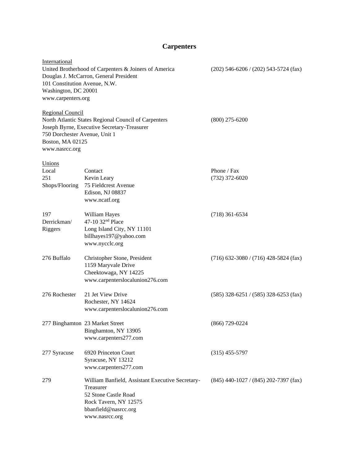## **Carpenters**

| International<br>101 Constitution Avenue, N.W.<br>Washington, DC 20001<br>www.carpenters.org   | United Brotherhood of Carpenters & Joiners of America<br>Douglas J. McCarron, General President                                                          | $(202)$ 546-6206 / (202) 543-5724 (fax)   |
|------------------------------------------------------------------------------------------------|----------------------------------------------------------------------------------------------------------------------------------------------------------|-------------------------------------------|
| <b>Regional Council</b><br>750 Dorchester Avenue, Unit 1<br>Boston, MA 02125<br>www.nasrcc.org | North Atlantic States Regional Council of Carpenters<br>Joseph Byrne, Executive Secretary-Treasurer                                                      | $(800)$ 275-6200                          |
| Unions<br>Local<br>251<br>Shops/Flooring                                                       | Contact<br>Kevin Leary<br>75 Fieldcrest Avenue<br>Edison, NJ 08837<br>www.ncatf.org                                                                      | Phone / Fax<br>$(732)$ 372-6020           |
| 197<br>Derrickman/<br>Riggers                                                                  | William Hayes<br>47-10 32 <sup>nd</sup> Place<br>Long Island City, NY 11101<br>billhayes197@yahoo.com<br>www.nycclc.org                                  | $(718)$ 361-6534                          |
| 276 Buffalo                                                                                    | Christopher Stone, President<br>1159 Maryvale Drive<br>Cheektowaga, NY 14225<br>www.carpenterslocalunion276.com                                          | $(716)$ 632-3080 / $(716)$ 428-5824 (fax) |
| 276 Rochester                                                                                  | 21 Jet View Drive<br>Rochester, NY 14624<br>www.carpenterslocalunion276.com                                                                              | $(585)$ 328-6251 / $(585)$ 328-6253 (fax) |
|                                                                                                | 277 Binghamton 23 Market Street<br>Binghamton, NY 13905<br>www.carpenters277.com                                                                         | $(866)$ 729-0224                          |
| 277 Syracuse                                                                                   | 6920 Princeton Court<br>Syracuse, NY 13212<br>www.carpenters277.com                                                                                      | $(315)$ 455-5797                          |
| 279                                                                                            | William Banfield, Assistant Executive Secretary-<br>Treasurer<br>52 Stone Castle Road<br>Rock Tavern, NY 12575<br>bbanfield@nasrcc.org<br>www.nasrcc.org | $(845)$ 440-1027 / $(845)$ 202-7397 (fax) |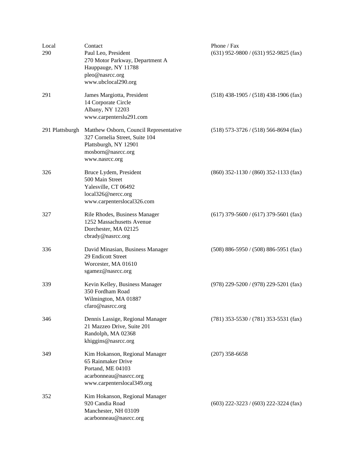| Local<br>290    | Contact<br>Paul Leo, President<br>270 Motor Parkway, Department A<br>Hauppauge, NY 11788<br>pleo@nasrcc.org<br>www.ubclocal290.org        | Phone / Fax<br>$(631)$ 952-9800 / $(631)$ 952-9825 (fax) |
|-----------------|-------------------------------------------------------------------------------------------------------------------------------------------|----------------------------------------------------------|
| 291             | James Margiotta, President<br>14 Corporate Circle<br>Albany, NY 12203<br>www.carpenterslu291.com                                          | $(518)$ 438-1905 / $(518)$ 438-1906 (fax)                |
| 291 Plattsburgh | Matthew Osborn, Council Representative<br>327 Cornelia Street, Suite 104<br>Plattsburgh, NY 12901<br>mosborn@nasrcc.org<br>www.nasrcc.org | $(518)$ 573-3726 / (518) 566-8694 (fax)                  |
| 326             | Bruce Lydem, President<br>500 Main Street<br>Yalesville, CT 06492<br>local326@nercc.org<br>www.carpenterslocal326.com                     | $(860)$ 352-1130 / $(860)$ 352-1133 (fax)                |
| 327             | Rile Rhodes, Business Manager<br>1252 Massachusetts Avenue<br>Dorchester, MA 02125<br>cbrady@nasrcc.org                                   | $(617)$ 379-5600 / $(617)$ 379-5601 (fax)                |
| 336             | David Minasian, Business Manager<br>29 Endicott Street<br>Worcester, MA 01610<br>sgamez@nasrcc.org                                        | $(508)$ 886-5950 / $(508)$ 886-5951 (fax)                |
| 339             | Kevin Kelley, Business Manager<br>350 Fordham Road<br>Wilmington, MA 01887<br>cfaro@nasrcc.org                                            | $(978)$ 229-5200 / $(978)$ 229-5201 (fax)                |
| 346             | Dennis Lassige, Regional Manager<br>21 Mazzeo Drive, Suite 201<br>Randolph, MA 02368<br>khiggins@nasrcc.org                               | $(781)$ 353-5530 / $(781)$ 353-5531 (fax)                |
| 349             | Kim Hokanson, Regional Manager<br>65 Rainmaker Drive<br>Portand, ME 04103<br>acarbonneau@nasrcc.org<br>www.carpenterslocal349.org         | $(207)$ 358-6658                                         |
| 352             | Kim Hokanson, Regional Manager<br>920 Candia Road<br>Manchester, NH 03109<br>acarbonneau@nasrcc.org                                       | $(603)$ 222-3223 / $(603)$ 222-3224 $(fax)$              |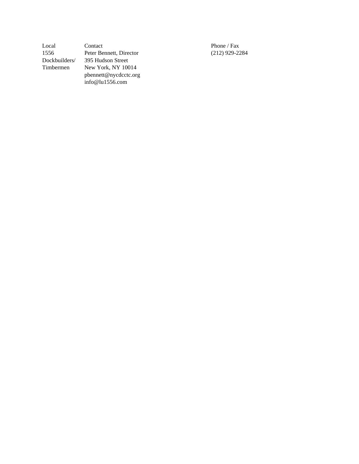Local Contact Phone / Fax 1556 Peter Bennett, Director Dockbuilders/ 395 Hudson Street Timbermen New York, NY 10014 pbennett@nycdcctc.org info@lu1556.com

(212) 929-2284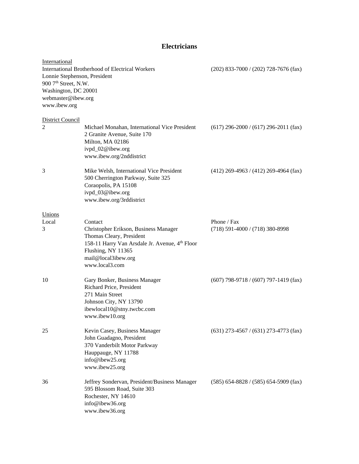## **Electricians**

| International<br>Lonnie Stephenson, President<br>900 7 <sup>th</sup> Street, N.W.<br>Washington, DC 20001<br>webmaster@ibew.org<br>www.ibew.org | <b>International Brotherhood of Electrical Workers</b>                                                                                                                             | $(202)$ 833-7000 / $(202)$ 728-7676 (fax) |
|-------------------------------------------------------------------------------------------------------------------------------------------------|------------------------------------------------------------------------------------------------------------------------------------------------------------------------------------|-------------------------------------------|
| <b>District Council</b>                                                                                                                         |                                                                                                                                                                                    |                                           |
| 2                                                                                                                                               | Michael Monahan, International Vice President<br>2 Granite Avenue, Suite 170<br>Milton, MA 02186<br>ivpd_02@ibew.org<br>www.ibew.org/2nddistrict                                   | $(617)$ 296-2000 / $(617)$ 296-2011 (fax) |
| 3                                                                                                                                               | Mike Welsh, International Vice President<br>500 Cherrington Parkway, Suite 325<br>Coraopolis, PA 15108<br>ivpd_03@ibew.org<br>www.ibew.org/3rddistrict                             | $(412)$ 269-4963 / $(412)$ 269-4964 (fax) |
| Unions                                                                                                                                          |                                                                                                                                                                                    |                                           |
| Local                                                                                                                                           | Contact                                                                                                                                                                            | Phone / Fax                               |
| 3                                                                                                                                               | Christopher Erikson, Business Manager<br>Thomas Cleary, President<br>158-11 Harry Van Arsdale Jr. Avenue, 4th Floor<br>Flushing, NY 11365<br>mail@local3ibew.org<br>www.local3.com | $(718)$ 591-4000 / (718) 380-8998         |
| 10                                                                                                                                              | Gary Bonker, Business Manager<br>Richard Price, President<br>271 Main Street<br>Johnson City, NY 13790<br>ibewlocal10@stny.twcbc.com<br>www.ibew10.org                             | $(607)$ 798-9718 / $(607)$ 797-1419 (fax) |
| 25                                                                                                                                              | Kevin Casey, Business Manager<br>John Guadagno, President<br>370 Vanderbilt Motor Parkway<br>Hauppauge, NY 11788<br>info@ibew25.org<br>www.ibew25.org                              | $(631)$ 273-4567 / $(631)$ 273-4773 (fax) |
| 36                                                                                                                                              | Jeffrey Sondervan, President/Business Manager<br>595 Blossom Road, Suite 303<br>Rochester, NY 14610<br>info@ibew36.org<br>www.ibew36.org                                           | $(585)$ 654-8828 / (585) 654-5909 (fax)   |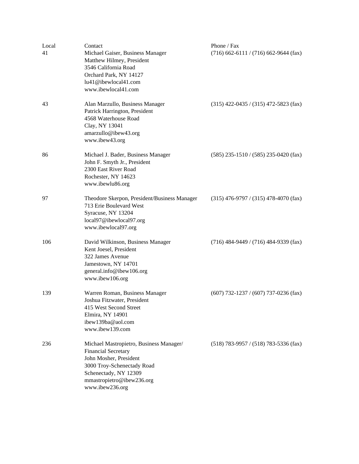| Local<br>41 | Contact<br>Michael Gaiser, Business Manager<br>Matthew Hilmey, President<br>3546 California Road<br>Orchard Park, NY 14127                                                                             | Phone / Fax<br>$(716)$ 662-6111 / (716) 662-9644 (fax) |
|-------------|--------------------------------------------------------------------------------------------------------------------------------------------------------------------------------------------------------|--------------------------------------------------------|
|             | lu41@ibewlocal41.com<br>www.ibewlocal41.com                                                                                                                                                            |                                                        |
| 43          | Alan Marzullo, Business Manager<br>Patrick Harrington, President<br>4568 Waterhouse Road<br>Clay, NY 13041<br>amarzullo@ibew43.org<br>www.ibew43.org                                                   | $(315)$ 422-0435 / $(315)$ 472-5823 (fax)              |
| 86          | Michael J. Bader, Business Manager<br>John F. Smyth Jr., President<br>2300 East River Road<br>Rochester, NY 14623<br>www.ibewlu86.org                                                                  | $(585)$ 235-1510 / $(585)$ 235-0420 (fax)              |
| 97          | Theodore Skerpon, President/Business Manager<br>713 Erie Boulevard West<br>Syracuse, NY 13204<br>local97@ibewlocal97.org<br>www.ibewlocal97.org                                                        | $(315)$ 476-9797 / $(315)$ 478-4070 (fax)              |
| 106         | David Wilkinson, Business Manager<br>Kent Joesel, President<br>322 James Avenue<br>Jamestown, NY 14701<br>general.info@ibew106.org<br>www.ibew106.org                                                  | $(716)$ 484-9449 / $(716)$ 484-9339 (fax)              |
| 139         | Warren Roman, Business Manager<br>Joshua Fitzwater, President<br>415 West Second Street<br>Elmira, NY 14901<br>ibew139ba@aol.com<br>www.ibew139.com                                                    | $(607)$ 732-1237 / $(607)$ 737-0236 $(fax)$            |
| 236         | Michael Mastropietro, Business Manager/<br><b>Financial Secretary</b><br>John Mosher, President<br>3000 Troy-Schenectady Road<br>Schenectady, NY 12309<br>mmastropietro@ibew236.org<br>www.ibew236.org | $(518)$ 783-9957 / $(518)$ 783-5336 (fax)              |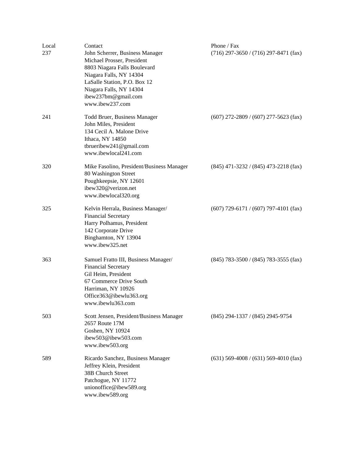| Local<br>237 | Contact<br>John Scherrer, Business Manager<br>Michael Prosser, President<br>8803 Niagara Falls Boulevard<br>Niagara Falls, NY 14304<br>LaSalle Station, P.O. Box 12<br>Niagara Falls, NY 14304<br>ibew237bm@gmail.com<br>www.ibew237.com | Phone / Fax<br>$(716)$ 297-3650 / (716) 297-8471 (fax) |
|--------------|------------------------------------------------------------------------------------------------------------------------------------------------------------------------------------------------------------------------------------------|--------------------------------------------------------|
| 241          | Todd Bruer, Business Manager<br>John Miles, President<br>134 Cecil A. Malone Drive<br>Ithaca, NY 14850<br>tbrueribew241@gmail.com<br>www.ibewlocal241.com                                                                                | $(607)$ 272-2809 / $(607)$ 277-5623 (fax)              |
| 320          | Mike Fasolino, President/Business Manager<br>80 Washington Street<br>Poughkeepsie, NY 12601<br>ibew320@verizon.net<br>www.ibewlocal320.org                                                                                               | $(845)$ 471-3232 / $(845)$ 473-2218 (fax)              |
| 325          | Kelvin Herrala, Business Manager/<br><b>Financial Secretary</b><br>Harry Polhamus, President<br>142 Corporate Drive<br>Binghamton, NY 13904<br>www.ibew325.net                                                                           | $(607)$ 729-6171 / $(607)$ 797-4101 (fax)              |
| 363          | Samuel Fratto III, Business Manager/<br><b>Financial Secretary</b><br>Gil Heim, President<br>67 Commerce Drive South<br>Harriman, NY 10926<br>Office363@ibewlu363.org<br>www.ibewlu363.com                                               | $(845)$ 783-3500 / $(845)$ 783-3555 (fax)              |
| 503          | Scott Jensen, President/Business Manager<br>2657 Route 17M<br>Goshen, NY 10924<br>ibew503@ibew503.com<br>www.ibew503.org                                                                                                                 | (845) 294-1337 / (845) 2945-9754                       |
| 589          | Ricardo Sanchez, Business Manager<br>Jeffrey Klein, President<br>38B Church Street<br>Patchogue, NY 11772<br>unionoffice@ibew589.org<br>www.ibew589.org                                                                                  | $(631)$ 569-4008 / $(631)$ 569-4010 (fax)              |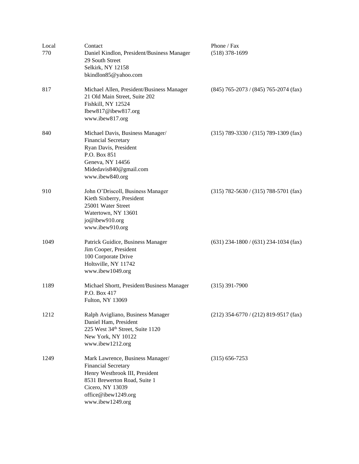| Local<br>770 | Contact<br>Daniel Kindlon, President/Business Manager<br>29 South Street<br>Selkirk, NY 12158<br>bkindlon85@yahoo.com                                                                           | Phone / Fax<br>$(518)$ 378-1699           |
|--------------|-------------------------------------------------------------------------------------------------------------------------------------------------------------------------------------------------|-------------------------------------------|
| 817          | Michael Allen, President/Business Manager<br>21 Old Main Street, Suite 202<br>Fishkill, NY 12524<br>Ibew817@ibew817.org<br>www.ibew817.org                                                      | $(845)$ 765-2073 / $(845)$ 765-2074 (fax) |
| 840          | Michael Davis, Business Manager/<br><b>Financial Secretary</b><br>Ryan Davis, President<br>P.O. Box 851<br>Geneva, NY 14456<br>Midedavis840@gmail.com<br>www.ibew840.org                        | $(315)$ 789-3330 / $(315)$ 789-1309 (fax) |
| 910          | John O'Driscoll, Business Manager<br>Kieth Sixberry, President<br>25001 Water Street<br>Watertown, NY 13601<br>jo@ibew910.org<br>www.ibew910.org                                                | $(315)$ 782-5630 / $(315)$ 788-5701 (fax) |
| 1049         | Patrick Guidice, Business Manager<br>Jim Cooper, President<br>100 Corporate Drive<br>Holtsville, NY 11742<br>www.ibew1049.org                                                                   | $(631)$ 234-1800 / $(631)$ 234-1034 (fax) |
| 1189         | Michael Shortt, President/Business Manager<br>P.O. Box 417<br>Fulton, NY 13069                                                                                                                  | $(315)$ 391-7900                          |
| 1212         | Ralph Avigliano, Business Manager<br>Daniel Ham, President<br>225 West 34 <sup>th</sup> Street, Suite 1120<br>New York, NY 10122<br>www.ibew1212.org                                            | $(212)$ 354-6770 / $(212)$ 819-9517 (fax) |
| 1249         | Mark Lawrence, Business Manager/<br><b>Financial Secretary</b><br>Henry Westbrook III, President<br>8531 Brewerton Road, Suite 1<br>Cicero, NY 13039<br>office@ibew1249.org<br>www.ibew1249.org | $(315) 656 - 7253$                        |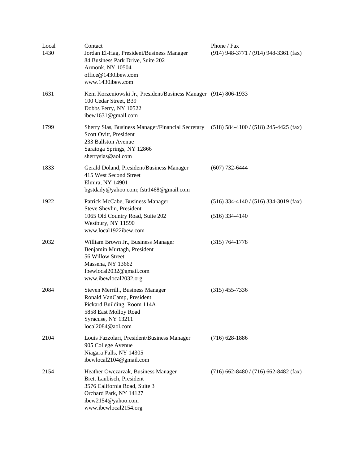| Local<br>1430 | Contact<br>Jordan El-Hag, President/Business Manager<br>84 Business Park Drive, Suite 202<br>Armonk, NY 10504<br>office@1430ibew.com<br>www.1430ibew.com                                     | Phone / Fax<br>(914) 948-3771 / (914) 948-3361 (fax)          |
|---------------|----------------------------------------------------------------------------------------------------------------------------------------------------------------------------------------------|---------------------------------------------------------------|
| 1631          | Kem Korzeniowski Jr., President/Business Manager (914) 806-1933<br>100 Cedar Street, B39<br>Dobbs Ferry, NY 10522<br>ibew1631@gmail.com                                                      |                                                               |
| 1799          | Sherry Sias, Business Manager/Financial Secretary (518) 584-4100 / (518) 245-4425 (fax)<br>Scott Ovitt, President<br>233 Ballston Avenue<br>Saratoga Springs, NY 12866<br>sherrysias@aol.com |                                                               |
| 1833          | Gerald Doland, President/Business Manager<br>415 West Second Street<br>Elmira, NY 14901<br>bgstdady@yahoo.com; fstr1468@gmail.com                                                            | $(607)$ 732-6444                                              |
| 1922          | Patrick McCabe, Business Manager<br>Steve Shevlin, President<br>1065 Old Country Road, Suite 202<br>Westbury, NY 11590<br>www.local1922ibew.com                                              | $(516)$ 334-4140 / $(516)$ 334-3019 (fax)<br>$(516)$ 334-4140 |
| 2032          | William Brown Jr., Business Manager<br>Benjamin Murtagh, President<br>56 Willow Street<br>Massena, NY 13662<br>Ibewlocal2032@gmail.com<br>www.ibewlocal2032.org                              | $(315) 764 - 1778$                                            |
| 2084          | Steven Merrill., Business Manager<br>Ronald VanCamp, President<br>Pickard Building, Room 114A<br>5858 East Molloy Road<br>Syracuse, NY 13211<br>local2084@aol.com                            | $(315)$ 455-7336                                              |
| 2104          | Louis Fazzolari, President/Business Manager<br>905 College Avenue<br>Niagara Falls, NY 14305<br>ibewlocal2104@gmail.com                                                                      | $(716)$ 628-1886                                              |
| 2154          | Heather Owczarzak, Business Manager<br>Brett Laubisch, President<br>3576 California Road, Suite 3<br>Orchard Park, NY 14127<br>ibew2154@yahoo.com<br>www.ibewlocal2154.org                   | $(716)$ 662-8480 / $(716)$ 662-8482 (fax)                     |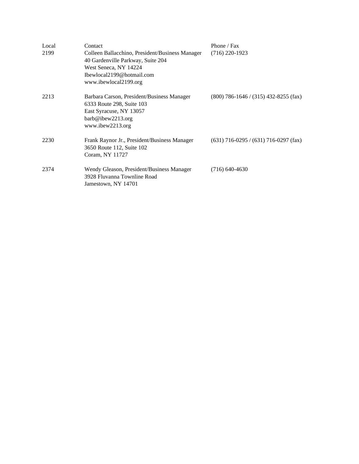| Local | Contact                                                                                                                                                             | Phone / Fax                               |
|-------|---------------------------------------------------------------------------------------------------------------------------------------------------------------------|-------------------------------------------|
| 2199  | Colleen Ballacchino, President/Business Manager<br>40 Gardenville Parkway, Suite 204<br>West Seneca, NY 14224<br>Ibewlocal2199@hotmail.com<br>www.ibewlocal2199.org | $(716)$ 220-1923                          |
| 2213  | Barbara Carson, President/Business Manager<br>6333 Route 298, Suite 103<br>East Syracuse, NY 13057<br>barb@ibew2213.org<br>www.ibew2213.org                         | $(800)$ 786-1646 / (315) 432-8255 (fax)   |
| 2230  | Frank Raynor Jr., President/Business Manager<br>3650 Route 112, Suite 102<br>Coram, NY 11727                                                                        | $(631)$ 716-0295 / $(631)$ 716-0297 (fax) |
| 2374  | Wendy Gleason, President/Business Manager<br>3928 Fluvanna Townline Road<br>Jamestown, NY 14701                                                                     | (716) 640-4630                            |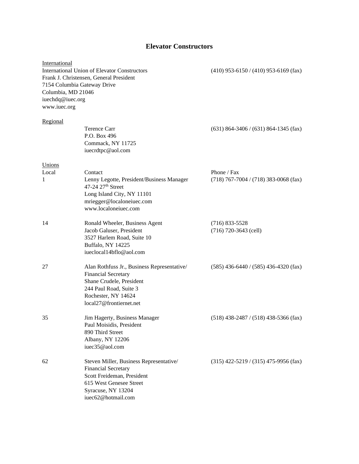#### **Elevator Constructors**

| International                                       |                                             |                                           |
|-----------------------------------------------------|---------------------------------------------|-------------------------------------------|
| <b>International Union of Elevator Constructors</b> |                                             | $(410)$ 953-6150 / $(410)$ 953-6169 (fax) |
| Frank J. Christensen, General President             |                                             |                                           |
| 7154 Columbia Gateway Drive                         |                                             |                                           |
| Columbia, MD 21046                                  |                                             |                                           |
| iuechdq@iuec.org                                    |                                             |                                           |
| www.iuec.org                                        |                                             |                                           |
|                                                     |                                             |                                           |
| Regional                                            |                                             |                                           |
|                                                     | <b>Terence Carr</b>                         | $(631)$ 864-3406 / $(631)$ 864-1345 (fax) |
|                                                     | P.O. Box 496                                |                                           |
|                                                     | Commack, NY 11725                           |                                           |
|                                                     | iuecrdtpc@aol.com                           |                                           |
|                                                     |                                             |                                           |
| Unions                                              |                                             |                                           |
| Local                                               | Contact                                     | Phone / Fax                               |
| 1                                                   | Lenny Legotte, President/Business Manager   | $(718)$ 767-7004 / (718) 383-0068 (fax)   |
|                                                     | 47-24 27 <sup>th</sup> Street               |                                           |
|                                                     | Long Island City, NY 11101                  |                                           |
|                                                     | mriegger@localoneiuec.com                   |                                           |
|                                                     | www.localoneiuec.com                        |                                           |
|                                                     |                                             |                                           |
| 14                                                  | Ronald Wheeler, Business Agent              | $(716) 833 - 5528$                        |
|                                                     | Jacob Galuser, President                    | $(716)$ 720-3643 (cell)                   |
|                                                     | 3527 Harlem Road, Suite 10                  |                                           |
|                                                     | Buffalo, NY 14225                           |                                           |
|                                                     | iueclocal14bflo@aol.com                     |                                           |
|                                                     |                                             |                                           |
| 27                                                  | Alan Rothfuss Jr., Business Representative/ | $(585)$ 436-6440 / $(585)$ 436-4320 (fax) |
|                                                     | <b>Financial Secretary</b>                  |                                           |
|                                                     | Shane Crudele, President                    |                                           |
|                                                     | 244 Paul Road, Suite 3                      |                                           |
|                                                     |                                             |                                           |
|                                                     | Rochester, NY 14624                         |                                           |
|                                                     | local27@frontiernet.net                     |                                           |
| 35                                                  | Jim Hagerty, Business Manager               | $(518)$ 438-2487 / $(518)$ 438-5366 (fax) |
|                                                     | Paul Moisidis, President                    |                                           |
|                                                     |                                             |                                           |
|                                                     | 890 Third Street                            |                                           |
|                                                     | Albany, NY 12206                            |                                           |
|                                                     | iuec35@aol.com                              |                                           |
| 62                                                  | Steven Miller, Business Representative/     | $(315)$ 422-5219 / $(315)$ 475-9956 (fax) |
|                                                     | <b>Financial Secretary</b>                  |                                           |
|                                                     | Scott Freideman, President                  |                                           |
|                                                     |                                             |                                           |
|                                                     | 615 West Genesee Street                     |                                           |
|                                                     | Syracuse, NY 13204                          |                                           |
|                                                     | iuec62@hotmail.com                          |                                           |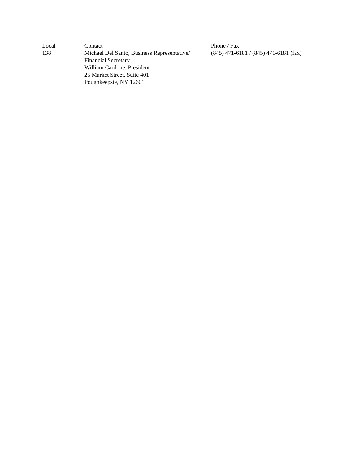| Local | Contact                                     |
|-------|---------------------------------------------|
| 138   | Michael Del Santo, Business Representative/ |
|       | <b>Financial Secretary</b>                  |
|       | William Cardone, President                  |
|       | 25 Market Street, Suite 401                 |
|       | Poughkeepsie, NY 12601                      |
|       |                                             |

Phone / Fax 138 Michael Del Santo, Business Representative/ (845) 471-6181 / (845) 471-6181 (fax)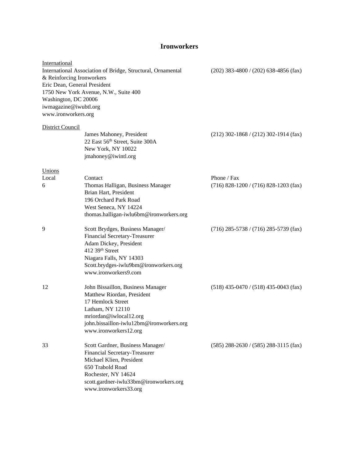## **Ironworkers**

| International<br>& Reinforcing Ironworkers<br>Eric Dean, General President<br>Washington, DC 20006<br>iwmagazine@iwubtl.org<br>www.ironworkers.org | International Association of Bridge, Structural, Ornamental<br>1750 New York Avenue, N.W., Suite 400                                                                                                        | $(202)$ 383-4800 / $(202)$ 638-4856 (fax)                |
|----------------------------------------------------------------------------------------------------------------------------------------------------|-------------------------------------------------------------------------------------------------------------------------------------------------------------------------------------------------------------|----------------------------------------------------------|
| <b>District Council</b>                                                                                                                            | James Mahoney, President<br>22 East 56th Street, Suite 300A<br>New York, NY 10022<br>jmahoney@iwintl.org                                                                                                    | $(212)$ 302-1868 / $(212)$ 302-1914 (fax)                |
| Unions<br>Local<br>6                                                                                                                               | Contact<br>Thomas Halligan, Business Manager<br>Brian Hart, President<br>196 Orchard Park Road<br>West Seneca, NY 14224<br>thomas.halligan-iwlu6bm@ironworkers.org                                          | Phone / Fax<br>$(716)$ 828-1200 / $(716)$ 828-1203 (fax) |
| 9                                                                                                                                                  | Scott Brydges, Business Manager/<br>Financial Secretary-Treasurer<br>Adam Dickey, President<br>412 39th Street<br>Niagara Falls, NY 14303<br>Scott.brydges-iwlu9bm@ironworkers.org<br>www.ironworkers9.com  | $(716)$ 285-5738 / $(716)$ 285-5739 (fax)                |
| 12                                                                                                                                                 | John Bissaillon, Business Manager<br>Matthew Riordan, President<br>17 Hemlock Street<br>Latham, NY 12110<br>mriordan@iwlocal12.org<br>john.bissaillon-iwlu12bm@ironworkers.org<br>www.ironworkers12.org     | $(518)$ 435-0470 / $(518)$ 435-0043 (fax)                |
| 33                                                                                                                                                 | Scott Gardner, Business Manager/<br>Financial Secretary-Treasurer<br>Michael Klien, President<br>650 Trabold Road<br>Rochester, NY 14624<br>scott.gardner-iwlu33bm@ironworkers.org<br>www.ironworkers33.org | $(585)$ 288-2630 / $(585)$ 288-3115 (fax)                |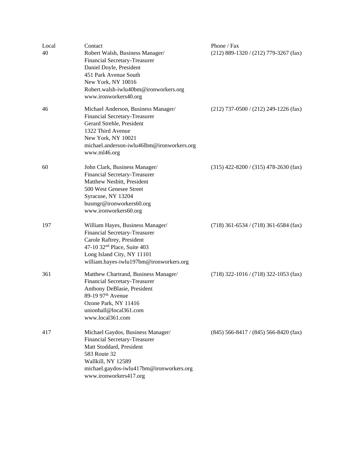| Local<br>40 | Contact<br>Robert Walsh, Business Manager/<br>Financial Secretary-Treasurer<br>Daniel Doyle, President<br>451 Park Avenue South<br>New York, NY 10016<br>Robert.walsh-iwlu40bm@ironworkers.org<br>www.ironworkers40.org | Phone / Fax<br>$(212) 889 - 1320 / (212) 779 - 3267$ (fax) |
|-------------|-------------------------------------------------------------------------------------------------------------------------------------------------------------------------------------------------------------------------|------------------------------------------------------------|
| 46          | Michael Anderson, Business Manager/<br>Financial Secretary-Treasurer<br>Gerard Strehle, President<br>1322 Third Avenue<br>New York, NY 10021<br>michael.anderson-iwlu46lbm@ironworkers.org<br>www.ml46.org              | $(212)$ 737-0500 / $(212)$ 249-1226 (fax)                  |
| 60          | John Clark, Business Manager/<br>Financial Secretary-Treasurer<br>Matthew Nesbitt, President<br>500 West Genesee Street<br>Syracuse, NY 13204<br>busmgr@ironworkers60.org<br>www.ironworkers60.org                      | $(315)$ 422-8200 / (315) 478-2630 (fax)                    |
| 197         | William Hayes, Business Manager/<br>Financial Secretary-Treasurer<br>Carole Raftrey, President<br>47-10 32 <sup>nd</sup> Place, Suite 403<br>Long Island City, NY 11101<br>william.hayes-iwlu197bm@ironworkers.org      | $(718)$ 361-6534 / $(718)$ 361-6584 (fax)                  |
| 361         | Matthew Chartrand, Business Manager/<br>Financial Secretary-Treasurer<br>Anthony DeBlasie, President<br>89-19 97 <sup>th</sup> Avenue<br>Ozone Park, NY 11416<br>unionhall@local361.com<br>www.local361.com             | $(718)$ 322-1016 / $(718)$ 322-1053 (fax)                  |
| 417         | Michael Gaydos, Business Manager/<br>Financial Secretary-Treasurer<br>Matt Stoddard, President<br>583 Route 32<br>Wallkill, NY 12589<br>michael.gaydos-iwlu417bm@ironworkers.org<br>www.ironworkers417.org              | $(845)$ 566-8417 / $(845)$ 566-8420 (fax)                  |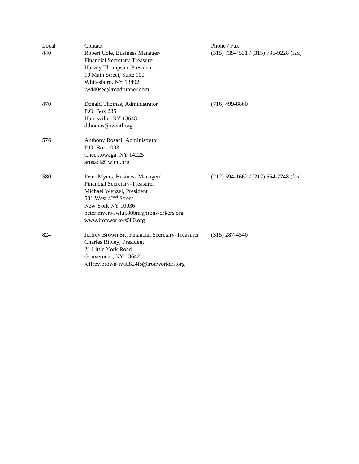| Local<br>440 | Contact<br>Robert Cole, Business Manager/<br>Financial Secretary-Treasurer<br>Harvey Thompson, President<br>10 Main Street, Suite 100<br>Whitesboro, NY 13492<br>iw440sec@roadrunner.com                                 | Phone / Fax<br>$(315)$ 735-4531 / $(315)$ 735-9228 (fax) |
|--------------|--------------------------------------------------------------------------------------------------------------------------------------------------------------------------------------------------------------------------|----------------------------------------------------------|
| 470          | Donald Thomas, Administrator<br>P.O. Box 235<br>Harrisville, NY 13648<br>dthomas@iwintl.org                                                                                                                              | $(716)$ 499-8860                                         |
| 576          | Anthony Rosaci, Administrator<br>P.O. Box 1003<br>Cheektowaga, NY 14225<br>arosaci@iwintl.org                                                                                                                            |                                                          |
| 580          | Peter Myers, Business Manager/<br>Financial Secretary-Treasurer<br>Michael Wenzel, President<br>501 West 42 <sup>nd</sup> Street<br>New York NY 10036<br>peter.myers-iwlu580bm@ironworkers.org<br>www.ironworkers580.org | $(212)$ 594-1662 / (212) 564-2748 (fax)                  |
| 824          | Jeffrey Brown Sr., Financial Secretary-Treasurer<br>Charles Ripley, President<br>21 Little York Road<br>Gouverneur, NY 13642<br>jeffrey.brown-iwlu824fs@ironworkers.org                                                  | $(315)$ 287-4540                                         |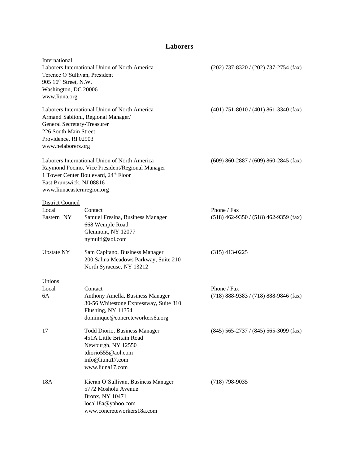## **Laborers**

| International<br>905 16th Street, N.W.<br>Washington, DC 20006<br>www.liuna.org                    | Laborers International Union of North America<br>Terence O'Sullivan, President                                                                 | $(202)$ 737-8320 / (202) 737-2754 (fax)                  |
|----------------------------------------------------------------------------------------------------|------------------------------------------------------------------------------------------------------------------------------------------------|----------------------------------------------------------|
| General Secretary-Treasurer<br>226 South Main Street<br>Providence, RI 02903<br>www.nelaborers.org | Laborers International Union of North America<br>Armand Sabitoni, Regional Manager/                                                            | $(401)$ 751-8010 / (401) 861-3340 (fax)                  |
| East Brunswick, NJ 08816<br>www.liunaeasternregion.org                                             | Laborers International Union of North America<br>Raymond Pocino, Vice President/Regional Manager<br>1 Tower Center Boulevard, 24th Floor       | $(609)$ 860-2887 / $(609)$ 860-2845 (fax)                |
| <b>District Council</b><br>Local<br>Eastern NY                                                     | Contact<br>Samuel Fresina, Business Manager<br>668 Wemple Road<br>Glenmont, NY 12077<br>nymulti@aol.com                                        | Phone / Fax<br>$(518)$ 462-9350 / $(518)$ 462-9359 (fax) |
| <b>Upstate NY</b>                                                                                  | Sam Capitano, Business Manager<br>200 Salina Meadows Parkway, Suite 210<br>North Syracuse, NY 13212                                            | $(315)$ 413-0225                                         |
| Unions<br>Local<br>6A                                                                              | Contact<br>Anthony Amella, Business Manager<br>30-56 Whitestone Expressway, Suite 310<br>Flushing, NY 11354<br>dominique@concreteworkers6a.org | Phone / Fax<br>$(718)$ 888-9383 / $(718)$ 888-9846 (fax) |
| 17                                                                                                 | Todd Diorio, Business Manager<br>451A Little Britain Road<br>Newburgh, NY 12550<br>tdiorio555@aol.com<br>info@liuna17.com<br>www.liuna17.com   | $(845)$ 565-2737 / $(845)$ 565-3099 (fax)                |
| 18A                                                                                                | Kieran O'Sullivan, Business Manager<br>5772 Mosholu Avenue<br>Bronx, NY 10471<br>local18a@yahoo.com<br>www.concreteworkers18a.com              | $(718)$ 798-9035                                         |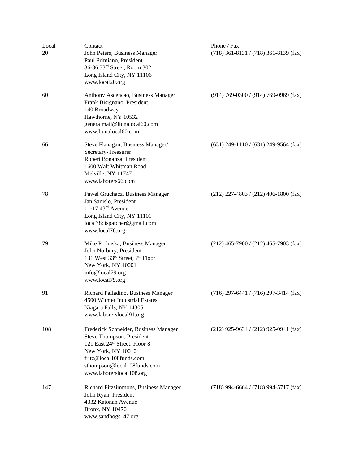| Local | Contact                                                                                                                                                                                                         | Phone / Fax                                 |
|-------|-----------------------------------------------------------------------------------------------------------------------------------------------------------------------------------------------------------------|---------------------------------------------|
| 20    | John Peters, Business Manager<br>Paul Primiano, President<br>36-36 33rd Street, Room 302<br>Long Island City, NY 11106<br>www.local20.org                                                                       | $(718)$ 361-8131 / $(718)$ 361-8139 (fax)   |
| 60    | Anthony Ascencao, Business Manager<br>Frank Bisignano, President<br>140 Broadway<br>Hawthorne, NY 10532<br>generalmail@liunalocal60.com<br>www.liunalocal60.com                                                 | $(914)$ 769-0300 / (914) 769-0969 (fax)     |
| 66    | Steve Flanagan, Business Manager/<br>Secretary-Treasurer<br>Robert Bonanza, President<br>1600 Walt Whitman Road<br>Melville, NY 11747<br>www.laborers66.com                                                     | $(631)$ 249-1110 / $(631)$ 249-9564 $(fax)$ |
| 78    | Pawel Gruchacz, Business Manager<br>Jan Sanislo, President<br>11-17 43rd Avenue<br>Long Island City, NY 11101<br>local78dispatcher@gmail.com<br>www.local78.org                                                 | $(212)$ 227-4803 / (212) 406-1800 (fax)     |
| 79    | Mike Prohaska, Business Manager<br>John Norbury, President<br>131 West 33rd Street, 7th Floor<br>New York, NY 10001<br>info@local79.org<br>www.local79.org                                                      | $(212)$ 465-7900 / $(212)$ 465-7903 (fax)   |
| 91    | Richard Palladino, Business Manager<br>4500 Witmer Industrial Estates<br>Niagara Falls, NY 14305<br>www.laborerslocal91.org                                                                                     | $(716)$ 297-6441 / (716) 297-3414 (fax)     |
| 108   | Frederick Schneider, Business Manager<br>Steve Thompson, President<br>121 East 24th Street, Floor 8<br>New York, NY 10010<br>fritz@local108funds.com<br>sthompson@local108funds.com<br>www.laborerslocal108.org | $(212)$ 925-9634 / $(212)$ 925-0941 (fax)   |
| 147   | Richard Fitzsimmons, Business Manager<br>John Ryan, President<br>4332 Katonah Avenue<br>Bronx, NY 10470<br>www.sandhogs147.org                                                                                  | $(718)$ 994-6664 / $(718)$ 994-5717 (fax)   |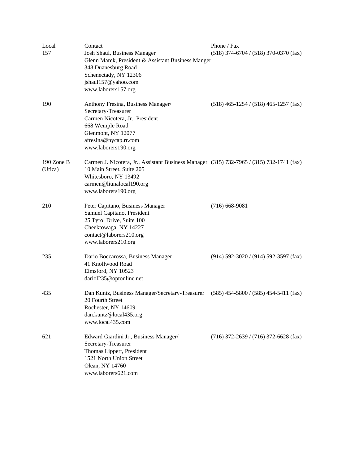| Local                   | Contact                                                                                                                                                                                           | Phone / Fax                               |
|-------------------------|---------------------------------------------------------------------------------------------------------------------------------------------------------------------------------------------------|-------------------------------------------|
| 157                     | Josh Shaul, Business Manager<br>Glenn Marek, President & Assistant Business Manger<br>348 Duanesburg Road<br>Schenectady, NY 12306<br>jshaul157@yahoo.com<br>www.laborers157.org                  | $(518)$ 374-6704 / (518) 370-0370 (fax)   |
| 190                     | Anthony Fresina, Business Manager/<br>Secretary-Treasurer<br>Carmen Nicotera, Jr., President<br>668 Wemple Road<br>Glenmont, NY 12077<br>afresina@nycap.rr.com<br>www.laborers190.org             | $(518)$ 465-1254 / (518) 465-1257 (fax)   |
| $190$ Zone B<br>(Utica) | Carmen J. Nicotera, Jr., Assistant Business Manager (315) 732-7965 / (315) 732-1741 (fax)<br>10 Main Street, Suite 205<br>Whitesboro, NY 13492<br>carmen@liunalocal190.org<br>www.laborers190.org |                                           |
| 210                     | Peter Capitano, Business Manager<br>Samuel Capitano, President<br>25 Tyrol Drive, Suite 100<br>Cheektowaga, NY 14227<br>contact@laborers210.org<br>www.laborers210.org                            | $(716)$ 668-9081                          |
| 235                     | Dario Boccarossa, Business Manager<br>41 Knollwood Road<br>Elmsford, NY 10523<br>dariol235@optonline.net                                                                                          | $(914)$ 592-3020 / $(914)$ 592-3597 (fax) |
| 435                     | Dan Kuntz, Business Manager/Secretary-Treasurer<br>20 Fourth Street<br>Rochester, NY 14609<br>dan.kuntz@local435.org<br>www.local435.com                                                          | $(585)$ 454-5800 / $(585)$ 454-5411 (fax) |
| 621                     | Edward Giardini Jr., Business Manager/<br>Secretary-Treasurer<br>Thomas Lippert, President<br>1521 North Union Street<br>Olean, NY 14760<br>www.laborers621.com                                   | $(716)$ 372-2639 / (716) 372-6628 (fax)   |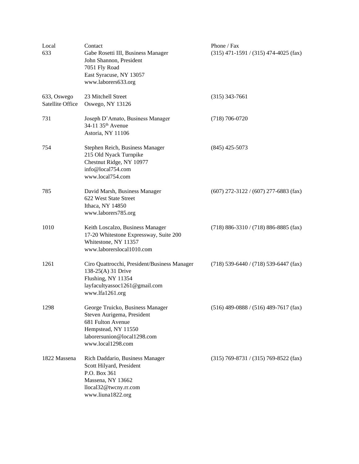| Local<br>633                    | Contact<br>Gabe Rosetti III, Business Manager<br>John Shannon, President<br>7051 Fly Road<br>East Syracuse, NY 13057<br>www.laborers633.org                    | Phone / Fax<br>$(315)$ 471-1591 / (315) 474-4025 (fax) |
|---------------------------------|----------------------------------------------------------------------------------------------------------------------------------------------------------------|--------------------------------------------------------|
| 633, Oswego<br>Satellite Office | 23 Mitchell Street<br>Oswego, NY 13126                                                                                                                         | $(315)$ 343-7661                                       |
| 731                             | Joseph D'Amato, Business Manager<br>34-11 35 <sup>th</sup> Avenue<br>Astoria, NY 11106                                                                         | $(718) 706 - 0720$                                     |
| 754                             | Stephen Reich, Business Manager<br>215 Old Nyack Turnpike<br>Chestnut Ridge, NY 10977<br>info@local754.com<br>www.local754.com                                 | $(845)$ 425-5073                                       |
| 785                             | David Marsh, Business Manager<br>622 West State Street<br>Ithaca, NY 14850<br>www.laborers785.org                                                              | $(607)$ 272-3122 / $(607)$ 277-6883 (fax)              |
| 1010                            | Keith Loscalzo, Business Manager<br>17-20 Whitestone Expressway, Suite 200<br>Whitestone, NY 11357<br>www.laborerslocal1010.com                                | $(718)$ 886-3310 / $(718)$ 886-8885 (fax)              |
| 1261                            | Ciro Quattrocchi, President/Business Manager<br>138-25(A) 31 Drive<br>Flushing, NY 11354<br>layfacultyassoc1261@gmail.com<br>www.lfa1261.org                   | $(718)$ 539-6440 / $(718)$ 539-6447 (fax)              |
| 1298                            | George Truicko, Business Manager<br>Steven Aurigema, President<br>681 Fulton Avenue<br>Hempstead, NY 11550<br>laborersunion@local1298.com<br>www.local1298.com | $(516)$ 489-0888 / (516) 489-7617 (fax)                |
| 1822 Massena                    | Rich Daddario, Business Manager<br>Scott Hilyard, President<br>P.O. Box 361<br>Massena, NY 13662<br>llocal32@twcny.rr.com<br>www.liuna1822.org                 | $(315)$ 769-8731 / (315) 769-8522 (fax)                |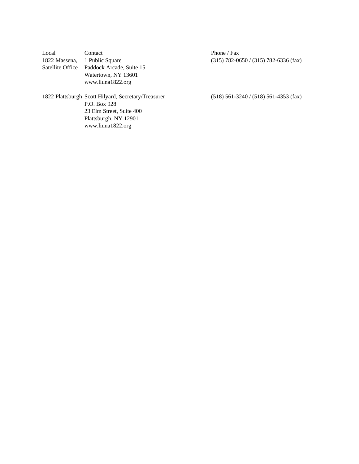| Local            | Contact                                             | Phone / Fax                             |
|------------------|-----------------------------------------------------|-----------------------------------------|
| 1822 Massena,    | 1 Public Square                                     | $(315)$ 782-0650 / (315) 782-6336 (fax) |
| Satellite Office | Paddock Arcade, Suite 15                            |                                         |
|                  | Watertown, NY 13601                                 |                                         |
|                  | www.liuna1822.org                                   |                                         |
|                  | 1822 Plattsburgh Scott Hilyard, Secretary/Treasurer | $(518)$ 561-3240 / (518) 561-4353 (fax) |
|                  | P.O. Box 928                                        |                                         |
|                  | 23 Elm Street, Suite 400                            |                                         |
|                  | Plattsburgh, NY 12901                               |                                         |
|                  | www.liuna1822.org                                   |                                         |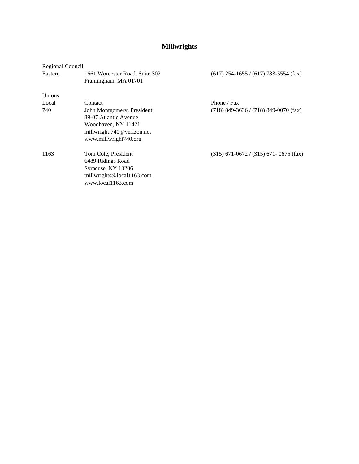## **Millwrights**

| Regional Council |                                                                                                                                   |                                             |
|------------------|-----------------------------------------------------------------------------------------------------------------------------------|---------------------------------------------|
| Eastern          | 1661 Worcester Road, Suite 302<br>Framingham, MA 01701                                                                            | $(617)$ 254-1655 / (617) 783-5554 (fax)     |
| Unions           |                                                                                                                                   |                                             |
| Local            | Contact                                                                                                                           | Phone / $Fax$                               |
| 740              | John Montgomery, President<br>89-07 Atlantic Avenue<br>Woodhaven, NY 11421<br>millwright.740@verizon.net<br>www.millwright740.org | $(718)$ 849-3636 / $(718)$ 849-0070 (fax)   |
| 1163             | Tom Cole, President<br>6489 Ridings Road<br>Syracuse, NY 13206<br>millwrights@local1163.com<br>www.local1163.com                  | $(315) 671 - 0672 / (315) 671 - 0675$ (fax) |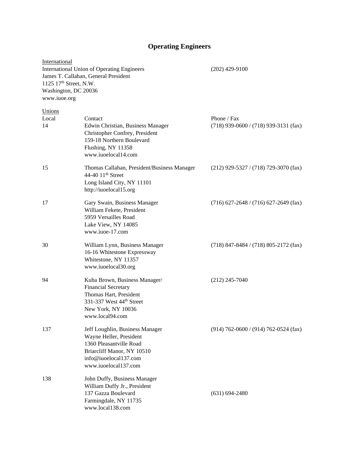## **Operating Engineers**

| International<br><b>International Union of Operating Engineers</b><br>James T. Callahan, General President<br>1125 17th Street, N.W.<br>Washington, DC 20036<br>www.iuoe.org |                                                                                                                                                                        | $(202)$ 429-9100                                       |
|------------------------------------------------------------------------------------------------------------------------------------------------------------------------------|------------------------------------------------------------------------------------------------------------------------------------------------------------------------|--------------------------------------------------------|
| Unions<br>Local<br>14                                                                                                                                                        | Contact<br>Edwin Christian, Business Manager<br>Christopher Confrey, President<br>159-18 Northern Boulevard<br>Flushing, NY 11358<br>www.iuoelocal14.com               | Phone / Fax<br>$(718)$ 939-0600 / (718) 939-3131 (fax) |
| 15                                                                                                                                                                           | Thomas Callahan, President/Business Manager<br>44-40 11 <sup>th</sup> Street<br>Long Island City, NY 11101<br>http://iuoelocal15.org                                   | $(212)$ 929-5327 / (718) 729-3070 (fax)                |
| 17                                                                                                                                                                           | Gary Swain, Business Manager<br>William Fekete, President<br>5959 Versailles Road<br>Lake View, NY 14085<br>www.iuoe-17.com                                            | $(716)$ 627-2648 / (716) 627-2649 (fax)                |
| 30                                                                                                                                                                           | William Lynn, Business Manager<br>16-16 Whitestone Expressway<br>Whitestone, NY 11357<br>www.iuoelocal30.org                                                           | $(718)$ 847-8484 / $(718)$ 805-2172 (fax)              |
| 94                                                                                                                                                                           | Kuba Brown, Business Manager/<br><b>Financial Secretary</b><br>Thomas Hart, President<br>331-337 West 44 <sup>th</sup> Street<br>New York, NY 10036<br>www.local94.com | $(212)$ 245-7040                                       |
| 137                                                                                                                                                                          | Jeff Loughlin, Business Manager<br>Wayne Heller, President<br>1360 Pleasantville Road<br>Briarcliff Manor, NY 10510<br>info@iuoelocal137.com<br>www.iuoelocal137.com   | $(914)$ 762-0600 / (914) 762-0524 (fax)                |
| 138                                                                                                                                                                          | John Duffy, Business Manager<br>William Duffy Jr., President<br>137 Gazza Boulevard<br>Farmingdale, NY 11735<br>www.local138.com                                       | $(631) 694 - 2480$                                     |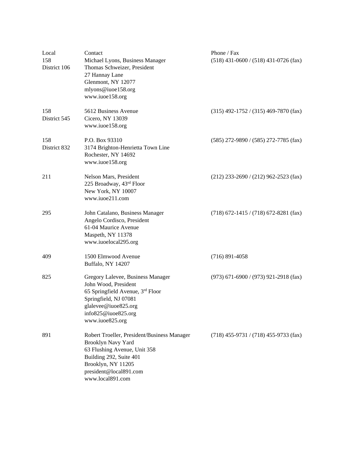| Local<br>158<br>District 106 | Contact<br>Michael Lyons, Business Manager<br>Thomas Schweizer, President<br>27 Hannay Lane<br>Glenmont, NY 12077<br>mlyons@iuoe158.org<br>www.iuoe158.org                                       | Phone / Fax<br>$(518)$ 431-0600 / $(518)$ 431-0726 (fax) |
|------------------------------|--------------------------------------------------------------------------------------------------------------------------------------------------------------------------------------------------|----------------------------------------------------------|
| 158<br>District 545          | 5612 Business Avenue<br>Cicero, NY 13039<br>www.iuoe158.org                                                                                                                                      | $(315)$ 492-1752 / $(315)$ 469-7870 (fax)                |
| 158<br>District 832          | P.O. Box 93310<br>3174 Brighton-Henrietta Town Line<br>Rochester, NY 14692<br>www.iuoe158.org                                                                                                    | $(585)$ 272-9890 / $(585)$ 272-7785 $(fax)$              |
| 211                          | Nelson Mars, President<br>225 Broadway, 43rd Floor<br>New York, NY 10007<br>www.iuoe211.com                                                                                                      | $(212)$ 233-2690 / $(212)$ 962-2523 (fax)                |
| 295                          | John Catalano, Business Manager<br>Angelo Cordisco, President<br>61-04 Maurice Avenue<br>Maspeth, NY 11378<br>www.iuoelocal295.org                                                               | $(718)$ 672-1415 / (718) 672-8281 (fax)                  |
| 409                          | 1500 Elmwood Avenue<br>Buffalo, NY 14207                                                                                                                                                         | $(716)$ 891-4058                                         |
| 825                          | Gregory Lalevee, Business Manager<br>John Wood, President<br>65 Springfield Avenue, 3rd Floor<br>Springfield, NJ 07081<br>glalevee@iuoe825.org<br>info825@iuoe825.org<br>www.iuoe825.org         | $(973)$ 671-6900 / $(973)$ 921-2918 (fax)                |
| 891                          | Robert Troeller, President/Business Manager<br>Brooklyn Navy Yard<br>63 Flushing Avenue, Unit 358<br>Building 292, Suite 401<br>Brooklyn, NY 11205<br>president@local891.com<br>www.local891.com | $(718)$ 455-9731 / (718) 455-9733 (fax)                  |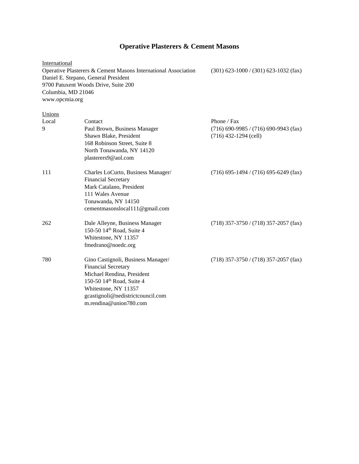## **Operative Plasterers & Cement Masons**

**International** Operative Plasterers & Cement Masons International Association (301) 623-1000 / (301) 623-1032 (fax) Daniel E. Stepano, General President 9700 Patuxent Woods Drive, Suite 200 Columbia, MD 21046 www.opcmia.org

| Unions |                                    |                                           |
|--------|------------------------------------|-------------------------------------------|
| Local  | Contact                            | Phone / Fax                               |
| 9      | Paul Brown, Business Manager       | $(716)$ 690-9985 / (716) 690-9943 (fax)   |
|        | Shawn Blake, President             | $(716)$ 432-1294 (cell)                   |
|        | 168 Robinson Street, Suite 8       |                                           |
|        | North Tonawanda, NY 14120          |                                           |
|        | plasterers9@aol.com                |                                           |
| 111    | Charles LoCurto, Business Manager/ | $(716)$ 695-1494 / (716) 695-6249 (fax)   |
|        | <b>Financial Secretary</b>         |                                           |
|        | Mark Catalano, President           |                                           |
|        | 111 Wales Avenue                   |                                           |
|        | Tonawanda, NY 14150                |                                           |
|        | cementmasonslocal111@gmail.com     |                                           |
| 262    | Dale Alleyne, Business Manager     | $(718)$ 357-3750 / $(718)$ 357-2057 (fax) |
|        | 150-50 14th Road, Suite 4          |                                           |
|        | Whitestone, NY 11357               |                                           |
|        | fmedrano@noedc.org                 |                                           |
| 780    | Gino Castignoli, Business Manager/ | $(718)$ 357-3750 / $(718)$ 357-2057 (fax) |
|        | <b>Financial Secretary</b>         |                                           |
|        | Michael Rendina, President         |                                           |
|        | 150-50 14th Road, Suite 4          |                                           |
|        | Whitestone, NY 11357               |                                           |
|        | gcastignoli@nedistrictcouncil.com  |                                           |
|        | m.rendina@union780.com             |                                           |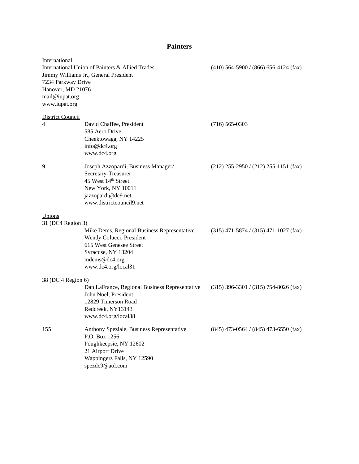## **Painters**

| International Union of Painters & Allied Trades  | $(410)$ 564-5900 / (866) 656-4124 (fax)   |
|--------------------------------------------------|-------------------------------------------|
| Jimmy Williams Jr., General President            |                                           |
| 7234 Parkway Drive                               |                                           |
| Hanover, MD 21076                                |                                           |
| mail@iupat.org                                   |                                           |
| www.iupat.org                                    |                                           |
|                                                  |                                           |
| District Council                                 |                                           |
| 4<br>David Chaffee, President                    | $(716)$ 565-0303                          |
| 585 Aero Drive                                   |                                           |
| Cheektowaga, NY 14225                            |                                           |
| info@dc4.org                                     |                                           |
| www.dc4.org                                      |                                           |
| 9<br>Joseph Azzopardi, Business Manager/         | $(212)$ 255-2950 / $(212)$ 255-1151 (fax) |
| Secretary-Treasurer                              |                                           |
| 45 West 14th Street                              |                                           |
| New York, NY 10011                               |                                           |
| jazzopardi@dc9.net                               |                                           |
| www.districtcouncil9.net                         |                                           |
|                                                  |                                           |
| Unions                                           |                                           |
| 31 (DC4 Region 3)                                |                                           |
| Mike Dems, Regional Business Representative      | $(315)$ 471-5874 / $(315)$ 471-1027 (fax) |
| Wendy Colucci, President                         |                                           |
|                                                  |                                           |
| 615 West Genesee Street                          |                                           |
| Syracuse, NY 13204                               |                                           |
| mdems@dc4.org                                    |                                           |
| www.dc4.org/local31                              |                                           |
|                                                  |                                           |
| 38 (DC 4 Region 6)                               |                                           |
| Dan LaFrance, Regional Business Representative   | $(315)$ 396-3301 / $(315)$ 754-8026 (fax) |
| John Noel, President                             |                                           |
| 12829 Timerson Road                              |                                           |
| Redcreek, NY13143                                |                                           |
| www.dc4.org/local38                              |                                           |
|                                                  |                                           |
| Anthony Speziale, Business Representative<br>155 | $(845)$ 473-0564 / $(845)$ 473-6550 (fax) |
| P.O. Box 1256                                    |                                           |
| Poughkeepsie, NY 12602                           |                                           |
| 21 Airport Drive<br>Wappingers Falls, NY 12590   |                                           |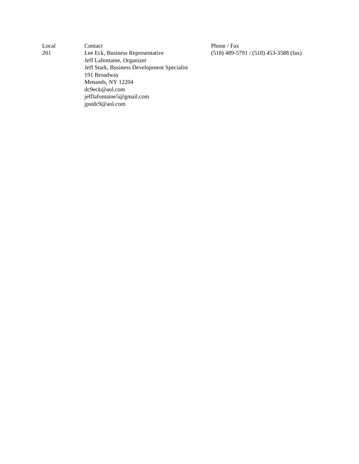Local Contact Phone / Fax 201 Lee Eck, Business Representative (518) 489-5791 / (518) 453-3588 (fax) Jeff Lafontaine, Organizer Jeff Stark, Business Development Specialist 191 Broadway Menands, NY 12204 [dc9eck@aol.com](mailto:dc9eck@aol.com) jefflafontaine5@gmail.com [jpstdc9@aol.com](mailto:jpstdc9@aol.com)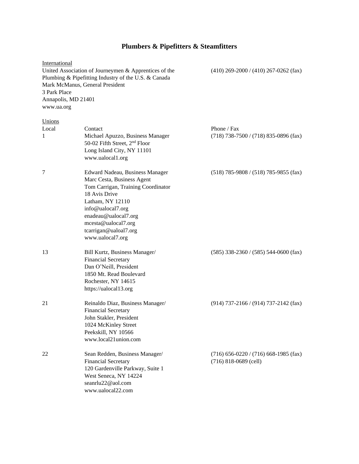## **Plumbers & Pipefitters & Steamfitters**

| International<br>3 Park Place<br>Annapolis, MD 21401<br>www.ua.org | United Association of Journeymen & Apprentices of the<br>Plumbing & Pipefitting Industry of the U.S. & Canada<br>Mark McManus, General President                                                                                                          | $(410)$ 269-2000 / $(410)$ 267-0262 (fax)                          |
|--------------------------------------------------------------------|-----------------------------------------------------------------------------------------------------------------------------------------------------------------------------------------------------------------------------------------------------------|--------------------------------------------------------------------|
| Unions                                                             |                                                                                                                                                                                                                                                           |                                                                    |
| Local                                                              | Contact                                                                                                                                                                                                                                                   | Phone / Fax                                                        |
| 1                                                                  | Michael Apuzzo, Business Manager<br>50-02 Fifth Street, 2 <sup>nd</sup> Floor<br>Long Island City, NY 11101<br>www.ualocal1.org                                                                                                                           | $(718)$ 738-7500 / (718) 835-0896 (fax)                            |
| 7                                                                  | Edward Nadeau, Business Manager<br>Marc Cesta, Business Agent<br>Tom Carrigan, Training Coordinator<br>18 Avis Drive<br>Latham, NY 12110<br>info@ualocal7.org<br>enadeau@ualocal7.org<br>mcesta@ualocal7.org<br>tcarrigan@ualoal7.org<br>www.ualocal7.org | $(518)$ 785-9808 / $(518)$ 785-9855 (fax)                          |
| 13                                                                 | Bill Kurtz, Business Manager/<br><b>Financial Secretary</b><br>Dan O'Neill, President<br>1850 Mt. Read Boulevard<br>Rochester, NY 14615<br>https://ualocal13.org                                                                                          | $(585)$ 338-2360 / $(585)$ 544-0600 (fax)                          |
| 21                                                                 | Reinaldo Diaz, Business Manager/<br><b>Financial Secretary</b><br>John Stakler, President<br>1024 McKinley Street<br>Peekskill, NY 10566<br>www.local21union.com                                                                                          | $(914)$ 737-2166 / $(914)$ 737-2142 (fax)                          |
| 22                                                                 | Sean Redden, Business Manager/<br><b>Financial Secretary</b><br>120 Gardenville Parkway, Suite 1<br>West Seneca, NY 14224<br>seanrlu22@aol.com<br>www.ualocal22.com                                                                                       | $(716)$ 656-0220 / (716) 668-1985 (fax)<br>$(716)$ 818-0689 (cell) |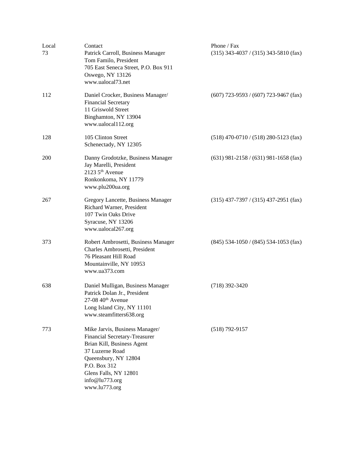| Local<br>73 | Contact<br>Patrick Carroll, Business Manager<br>Tom Familo, President<br>705 East Seneca Street, P.O. Box 911<br>Oswego, NY 13126<br>www.ualocal73.net                                                               | Phone / Fax<br>$(315)$ 343-4037 / $(315)$ 343-5810 (fax) |
|-------------|----------------------------------------------------------------------------------------------------------------------------------------------------------------------------------------------------------------------|----------------------------------------------------------|
| 112         | Daniel Crocker, Business Manager/<br><b>Financial Secretary</b><br>11 Griswold Street<br>Binghamton, NY 13904<br>www.ualocal112.org                                                                                  | $(607)$ 723-9593 / $(607)$ 723-9467 (fax)                |
| 128         | 105 Clinton Street<br>Schenectady, NY 12305                                                                                                                                                                          | $(518)$ 470-0710 / (518) 280-5123 (fax)                  |
| 200         | Danny Grodotzke, Business Manager<br>Jay Marelli, President<br>$21235^{\text{th}}$ Avenue<br>Ronkonkoma, NY 11779<br>www.plu200ua.org                                                                                | $(631)$ 981-2158 / $(631)$ 981-1658 (fax)                |
| 267         | Gregory Lancette, Business Manager<br>Richard Warner, President<br>107 Twin Oaks Drive<br>Syracuse, NY 13206<br>www.ualocal267.org                                                                                   | $(315)$ 437-7397 / $(315)$ 437-2951 (fax)                |
| 373         | Robert Ambrosetti, Business Manager<br>Charles Ambrosetti, President<br>76 Pleasant Hill Road<br>Mountainville, NY 10953<br>www.ua373.com                                                                            | $(845)$ 534-1050 / $(845)$ 534-1053 (fax)                |
| 638         | Daniel Mulligan, Business Manager<br>Patrick Dolan Jr., President<br>$27-08$ $40th$ Avenue<br>Long Island City, NY 11101<br>www.steamfitters638.org                                                                  | $(718)$ 392-3420                                         |
| 773         | Mike Jarvis, Business Manager/<br>Financial Secretary-Treasurer<br>Brian Kill, Business Agent<br>37 Luzerne Road<br>Queensbury, NY 12804<br>P.O. Box 312<br>Glens Falls, NY 12801<br>info@lu773.org<br>www.lu773.org | $(518) 792 - 9157$                                       |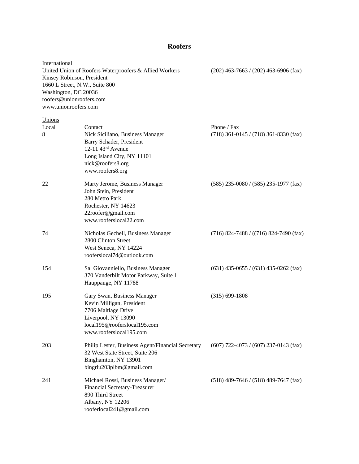## **Roofers**

| International            |                                                        |                                              |
|--------------------------|--------------------------------------------------------|----------------------------------------------|
|                          | United Union of Roofers Waterproofers & Allied Workers | $(202)$ 463-7663 / $(202)$ 463-6906 (fax)    |
|                          | Kinsey Robinson, President                             |                                              |
|                          | 1660 L Street, N.W., Suite 800                         |                                              |
| Washington, DC 20036     |                                                        |                                              |
| roofers@unionroofers.com |                                                        |                                              |
| www.unionroofers.com     |                                                        |                                              |
| Unions                   |                                                        |                                              |
| Local                    | Contact                                                | Phone / Fax                                  |
| 8                        | Nick Siciliano, Business Manager                       | $(718)$ 361-0145 / $(718)$ 361-8330 (fax)    |
|                          | Barry Schader, President                               |                                              |
|                          | 12-11 43rd Avenue                                      |                                              |
|                          | Long Island City, NY 11101                             |                                              |
|                          | nick@roofers8.org                                      |                                              |
|                          | www.roofers8.org                                       |                                              |
| 22                       | Marty Jerome, Business Manager                         | $(585)$ 235-0080 / $(585)$ 235-1977 (fax)    |
|                          | John Stein, President                                  |                                              |
|                          | 280 Metro Park                                         |                                              |
|                          | Rochester, NY 14623                                    |                                              |
|                          | 22roofer@gmail.com                                     |                                              |
|                          | www.rooferslocal22.com                                 |                                              |
| 74                       | Nicholas Gechell, Business Manager                     | $(716)$ 824-7488 / $((716)$ 824-7490 $(fax)$ |
|                          | 2800 Clinton Street                                    |                                              |
|                          | West Seneca, NY 14224                                  |                                              |
|                          | rooferslocal74@outlook.com                             |                                              |
| 154                      | Sal Giovanniello, Business Manager                     | $(631)$ 435-0655 / $(631)$ 435-0262 (fax)    |
|                          | 370 Vanderbilt Motor Parkway, Suite 1                  |                                              |
|                          | Hauppauge, NY 11788                                    |                                              |
| 195                      | Gary Swan, Business Manager                            | $(315) 699 - 1808$                           |
|                          | Kevin Milligan, President                              |                                              |
|                          | 7706 Maltlage Drive                                    |                                              |
|                          | Liverpool, NY 13090                                    |                                              |
|                          | local195@rooferslocal195.com                           |                                              |
|                          | www.rooferslocal195.com                                |                                              |
| 203                      | Philip Lester, Business Agent/Financial Secretary      | $(607)$ 722-4073 / $(607)$ 237-0143 $(fax)$  |
|                          | 32 West State Street, Suite 206                        |                                              |
|                          | Binghamton, NY 13901                                   |                                              |
|                          | bingrlu203plbm@gmail.com                               |                                              |
| 241                      | Michael Rossi, Business Manager/                       | $(518)$ 489-7646 / $(518)$ 489-7647 (fax)    |
|                          | Financial Secretary-Treasurer                          |                                              |
|                          | 890 Third Street                                       |                                              |
|                          | Albany, NY 12206                                       |                                              |
|                          | rooferlocal241@gmail.com                               |                                              |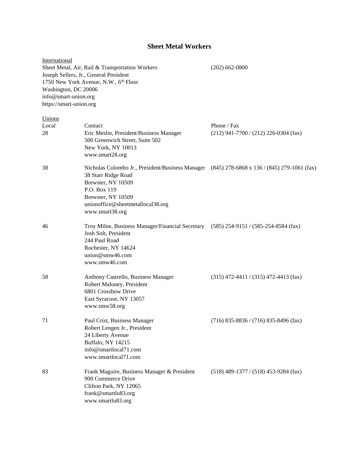## **Sheet Metal Workers**

| International<br>Washington, DC 20006<br>info@smart-union.org<br>https://smart-union.org | Sheet Metal, Air, Rail & Transportation Workers<br>Joseph Sellers, Jr., General President<br>1750 New York Avenue, N.W., 6th Floor                                                                                                        | $(202)$ 662-0800                                       |
|------------------------------------------------------------------------------------------|-------------------------------------------------------------------------------------------------------------------------------------------------------------------------------------------------------------------------------------------|--------------------------------------------------------|
| Unions                                                                                   |                                                                                                                                                                                                                                           |                                                        |
| Local<br>28                                                                              | Contact<br>Eric Meslin, President/Business Manager<br>500 Greenwich Street, Suite 502<br>New York, NY 10013<br>www.smart28.org                                                                                                            | Phone / Fax<br>$(212)$ 941-7700 / (212) 226-0304 (fax) |
| 38                                                                                       | Nicholas Colombo Jr., President/Business Manager $(845)$ 278-6868 x 136 / (845) 279-1061 (fax)<br>38 Starr Ridge Road<br>Brewster, NY 10509<br>P.O. Box 119<br>Brewster, NY 10509<br>unionoffice@sheetmetallocal38.org<br>www.smart38.org |                                                        |
| 46                                                                                       | Troy Milne, Business Manager/Financial Secretary (585) 254-9151 / (585-254-8584 (fax)<br>Josh Solt, President<br>244 Paul Road<br>Rochester, NY 14624<br>union@smw46.com<br>www.smw46.com                                                 |                                                        |
| 58                                                                                       | Anthony Castrello, Business Manager<br>Robert Maloney, President<br>6801 Crossbow Drive<br>East Syracuse, NY 13057<br>www.smw58.org                                                                                                       | $(315)$ 472-4411 / $(315)$ 472-4413 (fax)              |
| 71                                                                                       | Paul Crist, Business Manager<br>Robert Lengen Jr., President<br>24 Liberty Avenue<br>Buffalo, NY 14215<br>info@smartlocal71.com<br>www.smartlocal71.com                                                                                   | $(716)$ 835-8836 / (716) 835-8496 (fax)                |
| 83                                                                                       | Frank Maguire, Business Manager & President<br>900 Commerce Drive<br>Clifton Park, NY 12065<br>frank@smartlu83.org<br>www.smartlu83.org                                                                                                   | $(518)$ 489-1377 / $(518)$ 453-9284 (fax)              |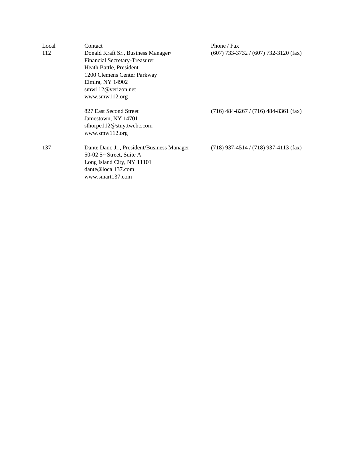| Local | Contact                                    | Phone / $\text{Fax}$                      |
|-------|--------------------------------------------|-------------------------------------------|
| 112   | Donald Kraft Sr., Business Manager/        | $(607)$ 733-3732 / $(607)$ 732-3120 (fax) |
|       | Financial Secretary-Treasurer              |                                           |
|       | Heath Battle, President                    |                                           |
|       | 1200 Clemens Center Parkway                |                                           |
|       | Elmira, NY 14902                           |                                           |
|       | smw112@verizon.net                         |                                           |
|       | www.smw112.org                             |                                           |
|       | 827 East Second Street                     | $(716)$ 484-8267 / (716) 484-8361 (fax)   |
|       | Jamestown, NY 14701                        |                                           |
|       | sthorpe112@stny.twcbc.com                  |                                           |
|       | www.smw112.org                             |                                           |
| 137   | Dante Dano Jr., President/Business Manager | $(718)$ 937-4514 / (718) 937-4113 (fax)   |
|       | 50-02 $5th$ Street, Suite A                |                                           |
|       | Long Island City, NY 11101                 |                                           |
|       | dante@local137.com                         |                                           |
|       | www.smart137.com                           |                                           |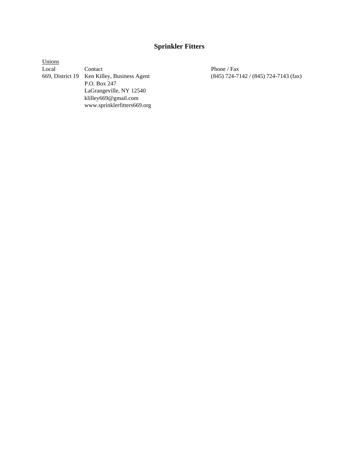## **Sprinkler Fitters**

Unions Local Contact Phone / Fax 669, District 19 Ken Killey, Business Agent (845) 724-7142 / (845) 724-7143 (fax) P.O. Box 247 LaGrangeville, NY 12540 klilley669@gmail.com [www.sprinklerfitters669.org](http://www.sprinklerfitters669.org/)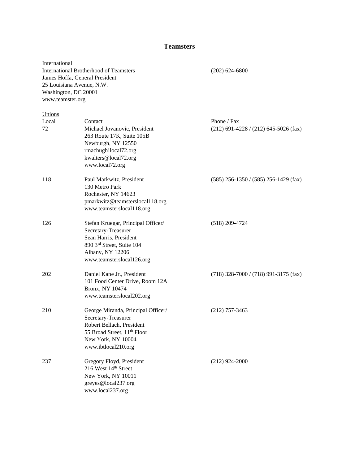## **Teamsters**

| <b>International</b><br>James Hoffa, General President<br>25 Louisiana Avenue, N.W.<br>Washington, DC 20001<br>www.teamster.org | <b>International Brotherhood of Teamsters</b>                                                                                                                                  | $(202)$ 624-6800                                       |
|---------------------------------------------------------------------------------------------------------------------------------|--------------------------------------------------------------------------------------------------------------------------------------------------------------------------------|--------------------------------------------------------|
| <b>Unions</b>                                                                                                                   |                                                                                                                                                                                |                                                        |
| Local<br>72                                                                                                                     | Contact<br>Michael Jovanovic, President<br>263 Route 17K, Suite 105B<br>Newburgh, NY 12550<br>rmachugh!local72.org<br>kwalters@local72.org<br>www.local72.org                  | Phone / Fax<br>$(212)$ 691-4228 / (212) 645-5026 (fax) |
| 118                                                                                                                             | Paul Markwitz, President<br>130 Metro Park<br>Rochester, NY 14623<br>pmarkwitz@teamsterslocal118.org<br>www.teamsterslocal118.org                                              | $(585)$ 256-1350 / $(585)$ 256-1429 (fax)              |
| 126                                                                                                                             | Stefan Kruegar, Principal Officer/<br>Secretary-Treasurer<br>Sean Harris, President<br>890 3rd Street, Suite 104<br>Albany, NY 12206<br>www.teamsterslocal126.org              | $(518)$ 209-4724                                       |
| 202                                                                                                                             | Daniel Kane Jr., President<br>101 Food Center Drive, Room 12A<br>Bronx, NY 10474<br>www.teamsterslocal202.org                                                                  | $(718)$ 328-7000 / $(718)$ 991-3175 (fax)              |
| 210                                                                                                                             | George Miranda, Principal Officer/<br>Secretary-Treasurer<br>Robert Bellach, President<br>55 Broad Street, 11 <sup>th</sup> Floor<br>New York, NY 10004<br>www.ibtlocal210.org | $(212)$ 757-3463                                       |
| 237                                                                                                                             | Gregory Floyd, President<br>216 West 14th Street<br>New York, NY 10011<br>greyes@local237.org<br>www.local237.org                                                              | $(212)$ 924-2000                                       |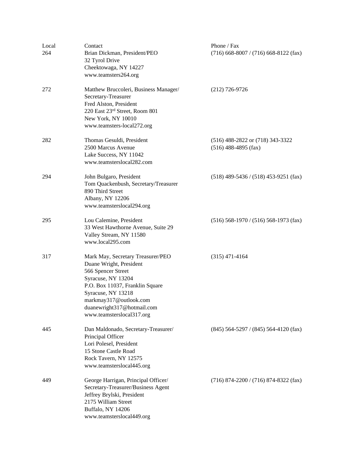| Local<br>264 | Contact<br>Brian Dickman, President/PEO<br>32 Tyrol Drive<br>Cheektowaga, NY 14227<br>www.teamsters264.org                                                                                                                                             | Phone / Fax<br>$(716)$ 668-8007 / (716) 668-8122 (fax)         |
|--------------|--------------------------------------------------------------------------------------------------------------------------------------------------------------------------------------------------------------------------------------------------------|----------------------------------------------------------------|
| 272          | Matthew Bruccoleri, Business Manager/<br>Secretary-Treasurer<br>Fred Alston, President<br>220 East 23rd Street, Room 801<br>New York, NY 10010<br>www.teamsters-local272.org                                                                           | $(212)$ 726-9726                                               |
| 282          | Thomas Gesuldi, President<br>2500 Marcus Avenue<br>Lake Success, NY 11042<br>www.teamsterslocal282.com                                                                                                                                                 | $(516)$ 488-2822 or $(718)$ 343-3322<br>$(516)$ 488-4895 (fax) |
| 294          | John Bulgaro, President<br>Tom Quackenbush, Secretary/Treasurer<br>890 Third Street<br>Albany, NY 12206<br>www.teamsterslocal294.org                                                                                                                   | $(518)$ 489-5436 / $(518)$ 453-9251 (fax)                      |
| 295          | Lou Calemine, President<br>33 West Hawthorne Avenue, Suite 29<br>Valley Stream, NY 11580<br>www.local295.com                                                                                                                                           | $(516)$ 568-1970 / (516) 568-1973 (fax)                        |
| 317          | Mark May, Secretary Treasurer/PEO<br>Duane Wright, President<br>566 Spencer Street<br>Syracuse, NY 13204<br>P.O. Box 11037, Franklin Square<br>Syracuse, NY 13218<br>markmay317@outlook.com<br>duanewright317@hotmail.com<br>www.teamsterslocal317.org | $(315)$ 471-4164                                               |
| 445          | Dan Maldonado, Secretary-Treasurer/<br>Principal Officer<br>Lori Polesel, President<br>15 Stone Castle Road<br>Rock Tavern, NY 12575<br>www.teamsterslocal445.org                                                                                      | $(845)$ 564-5297 / $(845)$ 564-4120 (fax)                      |
| 449          | George Harrigan, Principal Officer/<br>Secretary-Treasurer/Business Agent<br>Jeffrey Brylski, President<br>2175 William Street<br>Buffalo, NY 14206<br>www.teamsterslocal449.org                                                                       | $(716)$ 874-2200 / (716) 874-8322 (fax)                        |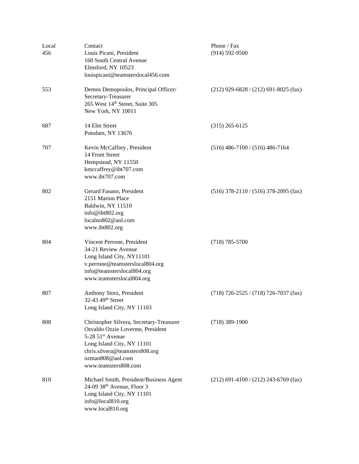| Local<br>456 | Contact<br>Louis Picani, President<br>160 South Central Avenue<br>Elmsford, NY 10523<br>louispicani@teamsterslocal456.com                                                                                                | Phone / Fax<br>$(914) 592 - 9500$         |
|--------------|--------------------------------------------------------------------------------------------------------------------------------------------------------------------------------------------------------------------------|-------------------------------------------|
| 553          | Demos Demopoulos, Principal Officer/<br>Secretary-Treasurer<br>265 West 14th Street, Suite 305<br>New York, NY 10011                                                                                                     | $(212)$ 929-6828 / (212) 691-8025 (fax)   |
| 687          | 14 Elm Street<br>Potsdam, NY 13676                                                                                                                                                                                       | $(315)$ 265-6125                          |
| 707          | Kevin McCaffrey, President<br>14 Front Street<br>Hempstead, NY 11550<br>kmccaffrey@ibt707.com<br>www.ibt707.com                                                                                                          | $(516)$ 486-7100 / (516) 486-7164         |
| 802          | Gerard Fasano, President<br>2151 Marion Place<br>Baldwin, NY 11510<br>info@ibt802.org<br>localno802@aol.com<br>www.ibt802.org                                                                                            | $(516)$ 378-2110 / (516) 378-2095 (fax)   |
| 804          | Vincent Perrone, President<br>34-21 Review Avenue<br>Long Island City, NY11101<br>v.perrone@teamsterslocal804.org<br>info@teamsterslocal804.org<br>www.teamsterslocal804.org                                             | $(718) 785 - 5700$                        |
| 807          | Anthony Storz, President<br>32-43 49th Street<br>Long Island City, NY 11103                                                                                                                                              | $(718)$ 726-2525 / $(718)$ 726-7037 (fax) |
| 808          | Christopher Silvera, Secretary-Treasurer<br>Osvaldo Ozzie Loverme, President<br>5-28 51 <sup>st</sup> Avenue<br>Long Island City, NY 11101<br>chris.silvera@teamsters808.org<br>ozman808@aol.com<br>www.teamsters808.com | $(718)$ 389-1900                          |
| 810          | Michael Smith, President/Business Agent<br>24-09 38 <sup>th</sup> Avenue, Floor 3<br>Long Island City, NY 11101<br>info@local810.org<br>www.local810.org                                                                 | $(212)$ 691-4100 / (212) 243-6769 (fax)   |